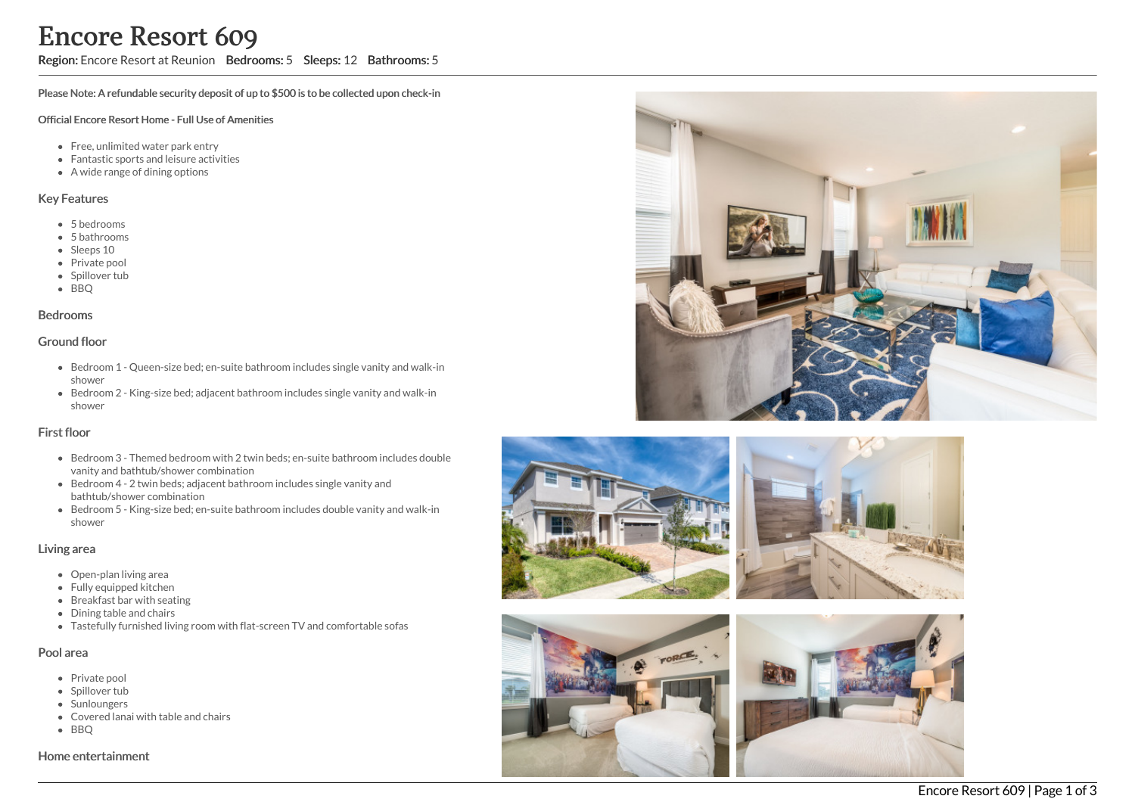## Region: Encore Resort at Reunion Bedrooms: 5 Sleeps: 12 Bathrooms: 5

Please Note: A refundable security deposit of up to \$500 is to be collected upon check-in

#### Official Encore Resort Home - Full Use of Amenities

- Free, unlimited water park entry
- Fantastic sports and leisure activities
- A wide range of dining options

#### Key Features

- 5 b e d r o o m s
- 5 bathrooms
- Sleeps 10
- Private pool
- Spillover tub
- BBQ

#### **Bedrooms**

#### Ground floor

- Bedroom 1 Queen-size bed; en-suite bathroom includes single vanity and walk-in s h o w e r
- Bedroom 2 King-size bed; adjacent bathroom includes single vanity and walk-in s h o w e r

### First floor

- Bedroom 3 Themed bedroom with 2 twin beds; en-suite bathroom includes double vanity and bathtub/shower combination
- Bedroom 4 2 twin beds; adjacent bathroom includes single vanity and bathtub/shower combination
- Bedroom 5 King-size bed; en-suite bathroom includes double vanity and walk-in s h o w e r

### Living area

- Open-plan living area
- Fully equipped kitchen
- Breakfast bar with seating
- Dining table and chairs
- Tastefully furnished living room with flat-screen TV and comfortable sofas

### Pool area

- Private pool
- Spillover tub
- Sunloungers
- Covered lanai with table and chairs
- B B Q

Home entertainment









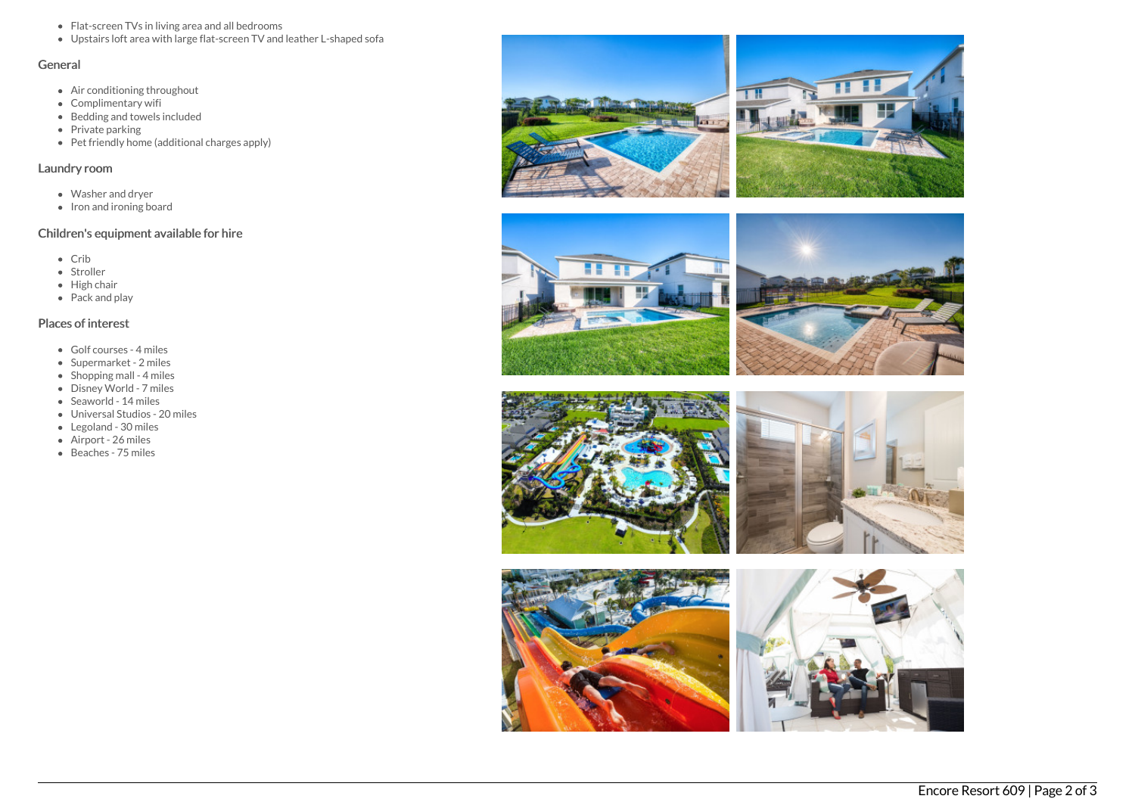- Flat-screen TVs in living area and all bedrooms
- Upstairs loft area with large flat-screen TV and leather L-shaped sofa

## General

- Air conditioning throughout
- Complimentary wifi
- Bedding and towels included
- Private parking
- Pet friendly home (additional charges apply)

## Laundry room

- Washer and dryer
- Iron and ironing board

# Children's equipment available for hire

- $\bullet$  Crib
- Stroller
- High chair
- Pack and play

# Places of interest

- Golf courses 4 miles
- Supermarket 2 miles
- $\bullet$  Shopping mall 4 miles
- Disney World 7 miles
- Seaworld 14 miles
- Universal Studios 20 miles
- Legoland 30 miles
- Airport 26 miles
- Beaches 75 miles